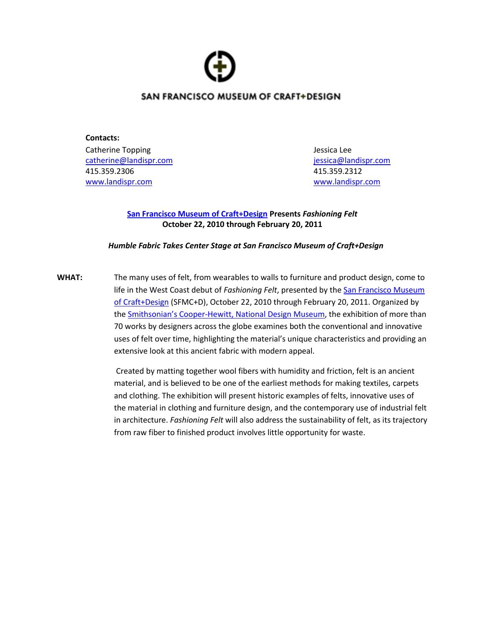## SAN FRANCISCO MUSEUM OF CRAFT+DESIGN

**Contacts:** Catherine Topping Jessica Lee [catherine@landispr.com](mailto:catherine@landispr.com) [jessica@landispr.com](mailto:jessica@landispr.com) 415.359.2306 415.359.2312 [www.landispr.com](http://www.landispr.com/) [www.landispr.com](http://www.landispr.com/)

### **[San Francisco Museum of Craft+Design](http://www.sfmcd.org/) Presents** *Fashioning Felt* **October 22, 2010 through February 20, 2011**

### *Humble Fabric Takes Center Stage at San Francisco Museum of Craft+Design*

**WHAT:** The many uses of felt, from wearables to walls to furniture and product design, come to life in the West Coast debut of *Fashioning Felt*, presented by the [San Francisco Museum](http://www.sfmcd.org/)  [of Craft+Design](http://www.sfmcd.org/) (SFMC+D), October 22, 2010 through February 20, 2011. Organized by the Smithsonian's Cooper[-Hewitt, National Design Museum,](http://www.cooperhewitt.org/) the exhibition of more than 70 works by designers across the globe examines both the conventional and innovative uses of felt over time, highlighting the material's unique characteristics and providing an extensive look at this ancient fabric with modern appeal.

> Created by matting together wool fibers with humidity and friction, felt is an ancient material, and is believed to be one of the earliest methods for making textiles, carpets and clothing. The exhibition will present historic examples of felts, innovative uses of the material in clothing and furniture design, and the contemporary use of industrial felt in architecture. *Fashioning Felt* will also address the sustainability of felt, as its trajectory from raw fiber to finished product involves little opportunity for waste.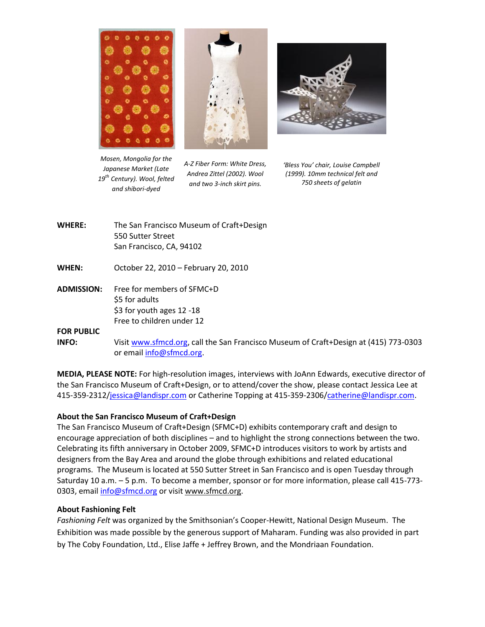





*Mosen, Mongolia for the Japanese Market (Late 19th Century). Wool, felted and shibori-dyed*

*A-Z Fiber Form: White Dress, Andrea Zittel (2002). Wool and two 3-inch skirt pins.*

*'Bless You' chair, Louise Campbell (1999). 10mm technical felt and 750 sheets of gelatin*

- **WHERE:** The San Francisco Museum of Craft+Design 550 Sutter Street San Francisco, CA, 94102
- **WHEN:** October 22, 2010 February 20, 2010
- **ADMISSION:** Free for members of SFMC+D \$5 for adults \$3 for youth ages 12 -18 Free to children under 12

# **FOR PUBLIC**

**INFO:** Visit [www.sfmcd.org,](http://www.sfmcd.org/) call the San Francisco Museum of Craft+Design at (415) 773-0303 or email [info@sfmcd.org.](mailto:info@sfmcd.org)

**MEDIA, PLEASE NOTE:** For high-resolution images, interviews with JoAnn Edwards, executive director of the San Francisco Museum of Craft+Design, or to attend/cover the show, please contact Jessica Lee at 415-359-2312[/jessica@landispr.com](mailto:jessica@landispr.com) or Catherine Topping at 415-359-2306[/catherine@landispr.com.](mailto:catherine@landispr.com)

### **About the San Francisco Museum of Craft+Design**

The San Francisco Museum of Craft+Design (SFMC+D) exhibits contemporary craft and design to encourage appreciation of both disciplines – and to highlight the strong connections between the two. Celebrating its fifth anniversary in October 2009, SFMC+D introduces visitors to work by artists and designers from the Bay Area and around the globe through exhibitions and related educational programs. The Museum is located at 550 Sutter Street in San Francisco and is open Tuesday through Saturday 10 a.m. – 5 p.m. To become a member, sponsor or for more information, please call 415-773 0303, emai[l info@sfmcd.org](mailto:info@sfmcd.org) or visi[t www.sfmcd.org.](http://www.sfmcd.org/)

### **About Fashioning Felt**

*Fashioning Felt* was organized by the Smithsonian's Cooper-Hewitt, National Design Museum. The Exhibition was made possible by the generous support of Maharam. Funding was also provided in part by The Coby Foundation, Ltd., Elise Jaffe + Jeffrey Brown, and the Mondriaan Foundation.